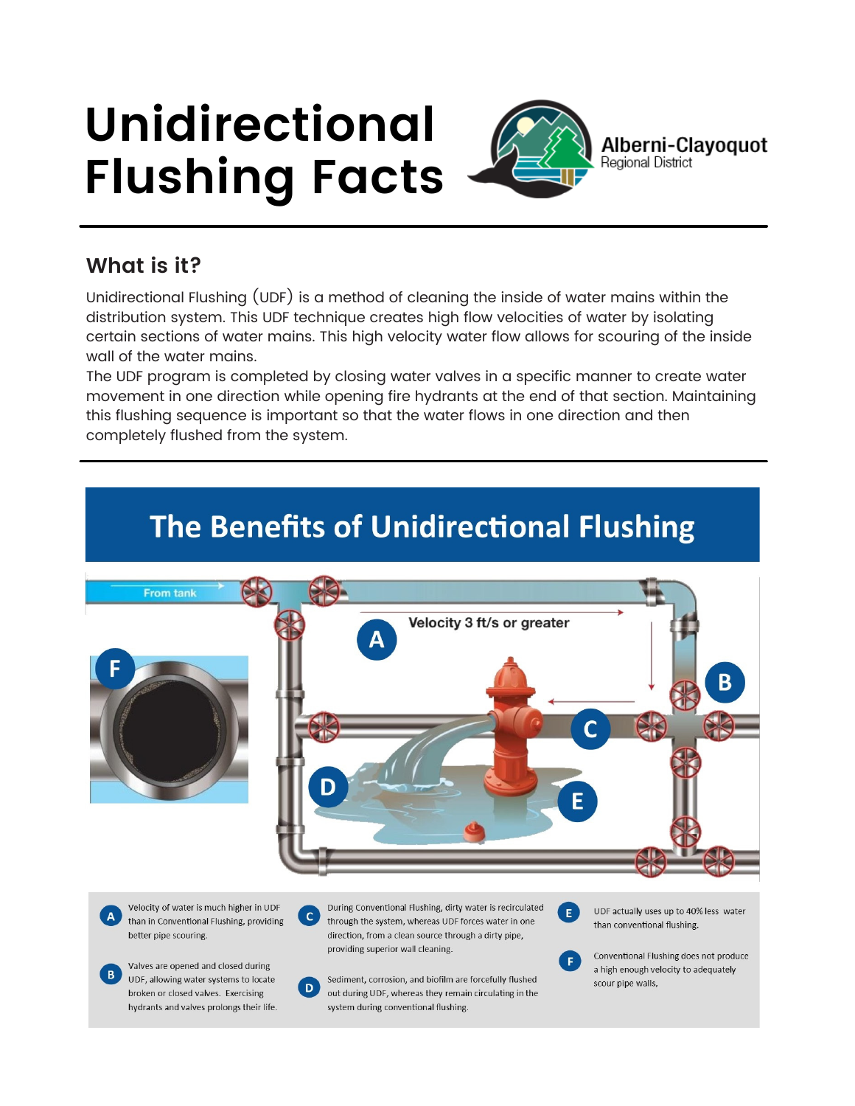# **Unidirectional Flushing Facts**



**Alberni-Clayoquot**<br>Regional District

## **What is it?**

Unidirectional Flushing (UDF) is a method of cleaning the inside of water mains within the distribution system. This UDF technique creates high flow velocities of water by isolating certain sections of water mains. This high velocity water flow allows for scouring of the inside wall of the water mains.

The UDF program is completed by closing water valves in a specific manner to create water movement in one direction while opening fire hydrants at the end of that section. Maintaining this flushing sequence is important so that the water flows in one direction and then completely flushed from the system.



Velocity of water is much higher in UDF than in Conventional Flushing, providing better pipe scouring.

Valves are opened and closed during UDF, allowing water systems to locate broken or closed valves. Exercising hydrants and valves prolongs their life.

During Conventional Flushing, dirty water is recirculated  $\mathbf{C}$ through the system, whereas UDF forces water in one direction, from a clean source through a dirty pipe, providing superior wall cleaning.

Sediment, corrosion, and biofilm are forcefully flushed out during UDF, whereas they remain circulating in the system during conventional flushing.

 $D$ 

UDF actually uses up to 40% less water than conventional flushing.



Conventional Flushing does not produce a high enough velocity to adequately scour pipe walls.